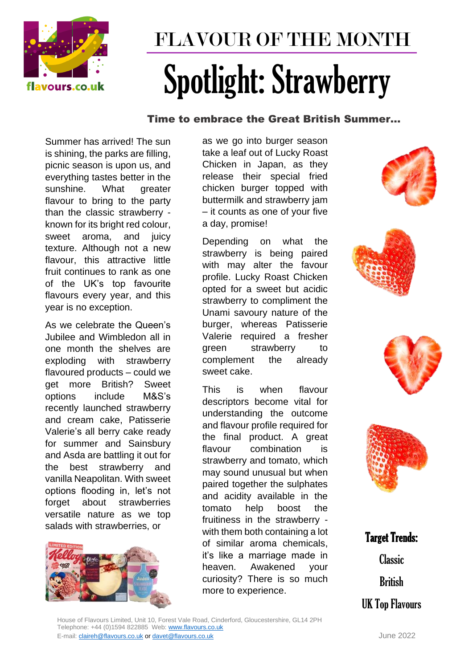

## FLAVOUR OF THE MONTH Spotlight: Strawberry

## Time to embrace the Great British Summer…

Summer has arrived! The sun is shining, the parks are filling, picnic season is upon us, and everything tastes better in the sunshine. What greater flavour to bring to the party than the classic strawberry known for its bright red colour, sweet aroma, and juicy texture. Although not a new flavour, this attractive little fruit continues to rank as one of the UK's top favourite flavours every year, and this year is no exception.

As we celebrate the Queen's Jubilee and Wimbledon all in one month the shelves are exploding with strawberry flavoured products – could we get more British? Sweet options include M&S's recently launched strawberry and cream cake, Patisserie Valerie's all berry cake ready for summer and Sainsbury and Asda are battling it out for the best strawberry and vanilla Neapolitan. With sweet options flooding in, let's not forget about strawberries versatile nature as we top salads with strawberries, or



as we go into burger season take a leaf out of Lucky Roast Chicken in Japan, as they release their special fried chicken burger topped with buttermilk and strawberry jam – it counts as one of your five a day, promise!

Depending on what the strawberry is being paired with may alter the favour profile. Lucky Roast Chicken opted for a sweet but acidic strawberry to compliment the Unami savoury nature of the burger, whereas Patisserie Valerie required a fresher green strawberry to complement the already sweet cake.

This is when flavour descriptors become vital for understanding the outcome and flavour profile required for the final product. A great flavour combination is strawberry and tomato, which may sound unusual but when paired together the sulphates and acidity available in the tomato help boost the fruitiness in the strawberry with them both containing a lot of similar aroma chemicals, it's like a marriage made in heaven. Awakened your curiosity? There is so much more to experience.









Target Trends: Classic

**British** 

UK Top Flavours

House of Flavours Limited, Unit 10, Forest Vale Road, Cinderford, Gloucestershire, GL14 2PH Telephone: +44 (0)1594 822885 Web: [www.flavours.co.uk](http://www.flavours.co.uk/)  E-mail: [claireh@flavours.co.uk](mailto:claireh@flavours.co.uk) o[r davet@flavours.co.uk](mailto:davet@flavours.co.uk) June 2022